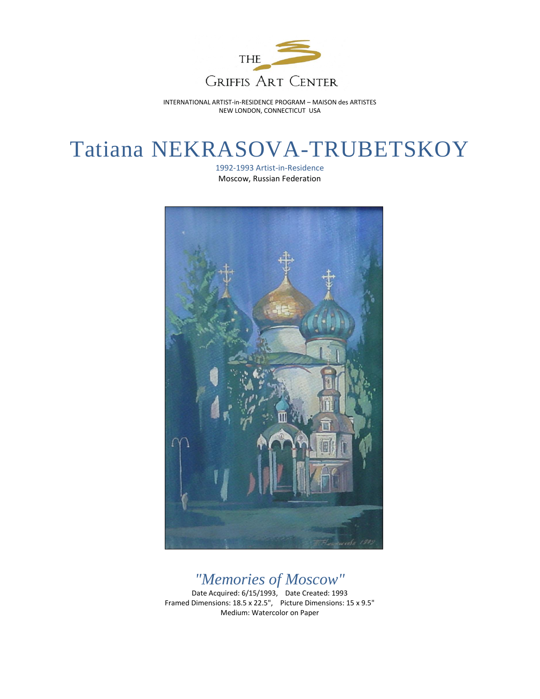

INTERNATIONAL ARTIST-in-RESIDENCE PROGRAM – MAISON des ARTISTES NEW LONDON, CONNECTICUT USA

## Tatiana NEKRASOVA-TRUBETSKOY

1992-1993 Artist-in-Residence Moscow, Russian Federation



## *"Memories of Moscow"*

Date Acquired: 6/15/1993, Date Created: 1993 Framed Dimensions: 18.5 x 22.5", Picture Dimensions: 15 x 9.5" Medium: Watercolor on Paper